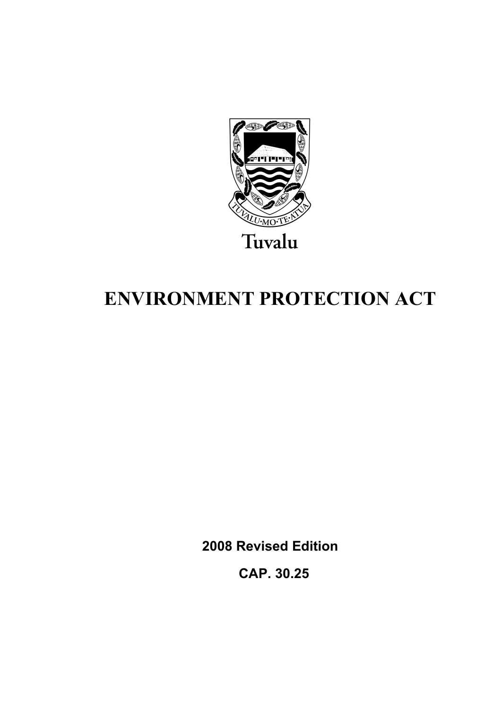

# **ENVIRONMENT PROTECTION ACT**

**2008 Revised Edition** 

 **CAP. 30.25**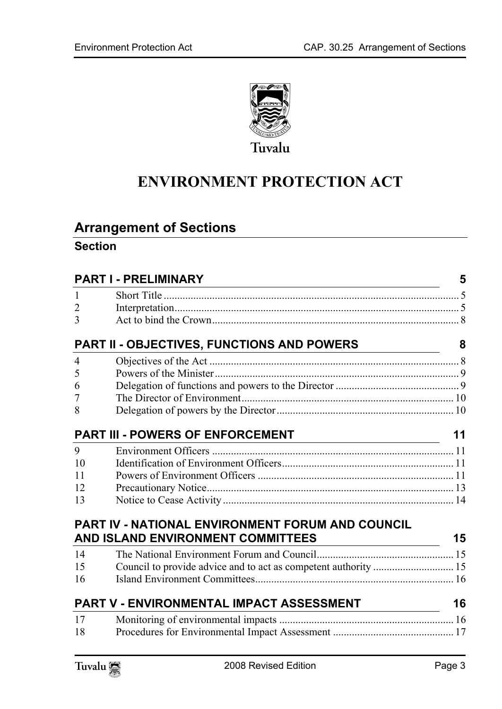

# **ENVIRONMENT PROTECTION ACT**

# **Arrange[ment of Sections](#page-4-1)**

# **Section**

|                | <b>PART I - PRELIMINARY</b>                                                  | 5  |
|----------------|------------------------------------------------------------------------------|----|
| $\mathbf{1}$   |                                                                              |    |
| $\overline{2}$ |                                                                              |    |
| $\overline{3}$ |                                                                              |    |
|                | <b>PART II - OBJECTIVES, FUNCTIONS AND POWERS</b>                            | 8  |
| 4              |                                                                              |    |
| 5              |                                                                              |    |
| 6              |                                                                              |    |
| 7              |                                                                              |    |
| 8              |                                                                              |    |
|                | <b>PART III - POWERS OF ENFORCEMENT</b>                                      | 11 |
| 9              |                                                                              |    |
| 10             |                                                                              |    |
| 11             |                                                                              |    |
| 12             |                                                                              |    |
| 13             |                                                                              |    |
|                | <b>PART IV - NATIONAL ENVIRONMENT FORUM AND COUNCIL</b>                      |    |
|                | AND ISLAND ENVIRONMENT COMMITTEES<br><u> 1980 - Johann Barbara, martin a</u> | 15 |
| 14             |                                                                              |    |
| 15             | Council to provide advice and to act as competent authority  15              |    |
| 16             |                                                                              |    |
|                | PART V - ENVIRONMENTAL IMPACT ASSESSMENT                                     | 16 |
| 17             |                                                                              |    |
| 18             |                                                                              |    |

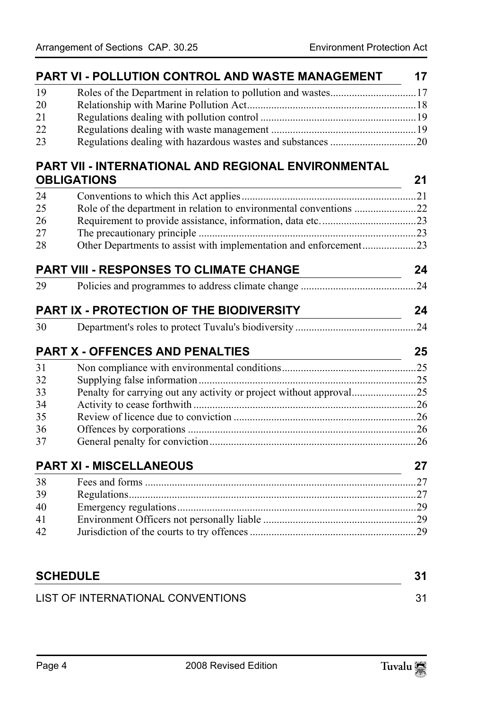|    | PART VI - POLLUTION CONTROL AND WASTE MANAGEMENT                    | 17 |
|----|---------------------------------------------------------------------|----|
| 19 | Roles of the Department in relation to pollution and wastes17       |    |
| 20 |                                                                     |    |
| 21 |                                                                     |    |
| 22 |                                                                     |    |
| 23 |                                                                     |    |
|    | PART VII - INTERNATIONAL AND REGIONAL ENVIRONMENTAL                 |    |
|    | <b>OBLIGATIONS</b>                                                  | 21 |
| 24 |                                                                     |    |
| 25 | Role of the department in relation to environmental conventions 22  |    |
| 26 |                                                                     |    |
| 27 |                                                                     |    |
| 28 | Other Departments to assist with implementation and enforcement23   |    |
|    | <b>PART VIII - RESPONSES TO CLIMATE CHANGE</b>                      | 24 |
| 29 |                                                                     |    |
|    | <b>PART IX - PROTECTION OF THE BIODIVERSITY</b>                     | 24 |
| 30 |                                                                     |    |
|    | <b>PART X - OFFENCES AND PENALTIES</b>                              | 25 |
| 31 |                                                                     |    |
| 32 |                                                                     |    |
| 33 | Penalty for carrying out any activity or project without approval25 |    |
| 34 |                                                                     |    |
| 35 |                                                                     |    |
| 36 |                                                                     |    |
| 37 |                                                                     |    |
|    | <b>PART XI - MISCELLANEOUS</b>                                      | 27 |
| 38 |                                                                     |    |
| 39 |                                                                     |    |
| 40 |                                                                     |    |
| 41 |                                                                     |    |
| 42 |                                                                     |    |
|    |                                                                     |    |
|    | <b>SCHEDULE</b>                                                     |    |
|    | LIST OF INTERNATIONAL CONVENTIONS                                   |    |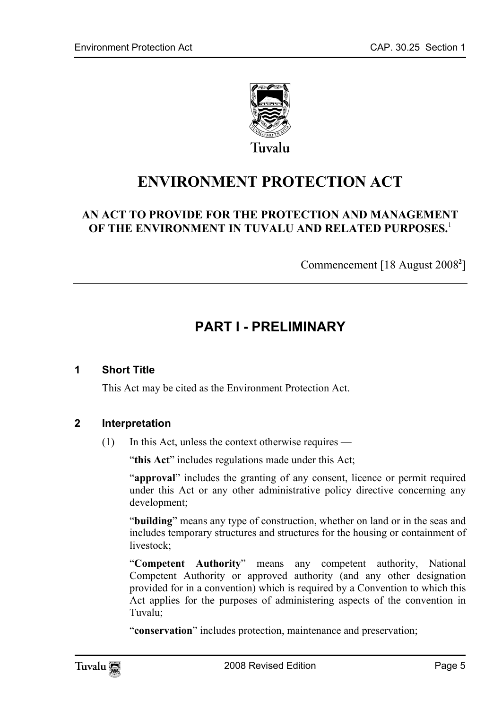

# **ENVIRONMENT PROTECTION ACT**

# **AN ACT TO PROVIDE FOR THE PROTECTION AND MANAGEMENT OF THE ENVIRONMENT IN TUVALU AND RELATED PURPOSES.**<sup>1</sup>

<span id="page-4-0"></span>Commencement [18 August 2008**<sup>2</sup>** ]

# <span id="page-4-1"></span>**PART I - PRELIMINARY**

#### **1 Short Title**

This Act may be cited as the Environment Protection Act.

#### **2 Interpretation**

(1) In this Act, unless the context otherwise requires —

"this Act" includes regulations made under this Act;

"**approval**" includes the granting of any consent, licence or permit required under this Act or any other administrative policy directive concerning any development;

"**building**" means any type of construction, whether on land or in the seas and includes temporary structures and structures for the housing or containment of livestock;

"**Competent Authority**" means any competent authority, National Competent Authority or approved authority (and any other designation provided for in a convention) which is required by a Convention to which this Act applies for the purposes of administering aspects of the convention in Tuvalu;

"**conservation**" includes protection, maintenance and preservation;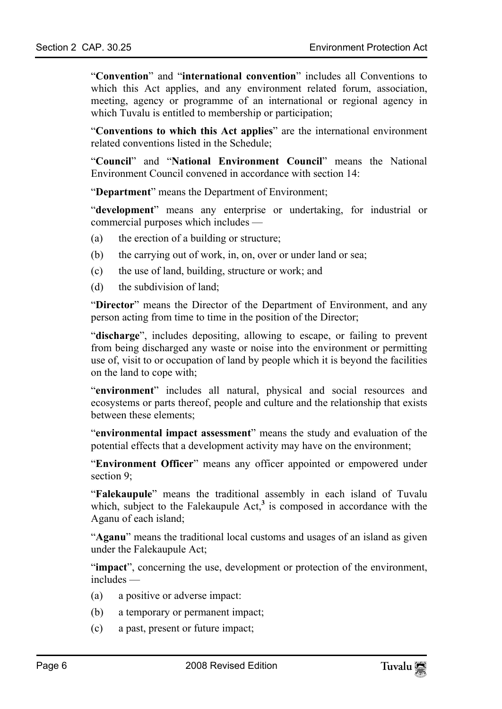"**Convention**" and "**international convention**" includes all Conventions to which this Act applies, and any environment related forum, association, meeting, agency or programme of an international or regional agency in which Tuvalu is entitled to membership or participation;

"**Conventions to which this Act applies**" are the international environment related conventions listed in the Schedule;

"**Council**" and "**National Environment Council**" means the National Environment Council convened in accordance with section 14:

"**Department**" means the Department of Environment;

"**development**" means any enterprise or undertaking, for industrial or commercial purposes which includes —

- (a) the erection of a building or structure;
- (b) the carrying out of work, in, on, over or under land or sea;
- (c) the use of land, building, structure or work; and
- (d) the subdivision of land;

"**Director**" means the Director of the Department of Environment, and any person acting from time to time in the position of the Director;

"**discharge**", includes depositing, allowing to escape, or failing to prevent from being discharged any waste or noise into the environment or permitting use of, visit to or occupation of land by people which it is beyond the facilities on the land to cope with;

"**environment**" includes all natural, physical and social resources and ecosystems or parts thereof, people and culture and the relationship that exists between these elements;

"**environmental impact assessment**" means the study and evaluation of the potential effects that a development activity may have [o](#page-31-0)n the environment;

"**Environment Officer**" means any officer appointed or empowered under section 9:

"**Falekaupule**" means the traditional assembly in each island of Tuvalu which, subject to the Falekaupule  $Act<sub>1</sub><sup>3</sup>$  is composed in accordance with the Aganu of each island;

"**Aganu**" means the traditional local customs and usages of an island as given under the Falekaupule Act;

"**impact**", concerning the use, development or protection of the environment, includes —

- (a) a positive or adverse impact:
- (b) a temporary or permanent impact;
- (c) a past, present or future impact;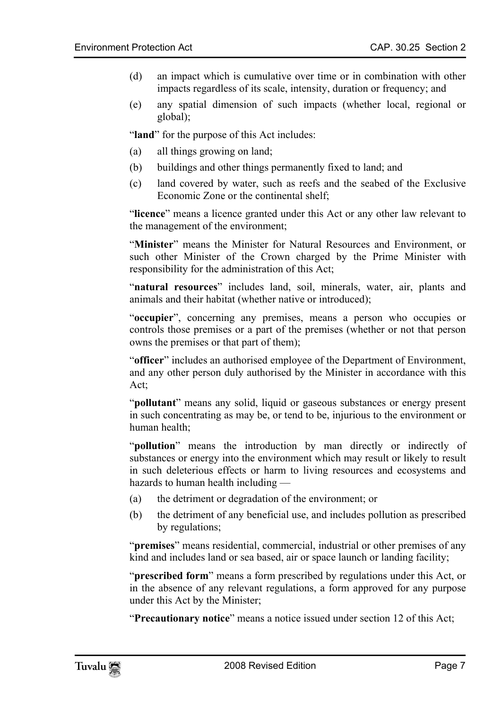- (d) an impact which is cumulative over time or in combination with other impacts regardless of its scale, intensity, duration or frequency; and
- (e) any spatial dimension of such impacts (whether local, regional or global);

"land" for the purpose of this Act includes:

- (a) all things growing on land;
- (b) buildings and other things permanently fixed to land; and
- (c) land covered by water, such as reefs and the seabed of the Exclusive Economic Zone or the continental shelf;

"**licence**" means a licence granted under this Act or any other law relevant to the management of the environment;

"**Minister**" means the Minister for Natural Resources and Environment, or such other Minister of the Crown charged by the Prime Minister with responsibility for the administration of this Act;

"**natural resources**" includes land, soil, minerals, water, air, plants and animals and their habitat (whether native or introduced);

"**occupier**", concerning any premises, means a person who occupies or controls those premises or a part of the premises (whether or not that person owns the premises or that part of them);

"**officer**" includes an authorised employee of the Department of Environment, and any other person duly authorised by the Minister in accordance with this Act;

"**pollutant**" means any solid, liquid or gaseous substances or energy present in such concentrating as may be, or tend to be, injurious to the environment or human health;

"**pollution**" means the introduction by man directly or indirectly of substances or energy into the environment which may result or likely to result in such deleterious effects or harm to living resources and ecosystems and hazards to human health including —

- (a) the detriment or degradation of the environment; or
- (b) the detriment of any beneficial use, and includes pollution as prescribed by regulations;

"**premises**" means residential, commercial, industrial or other premises of any kind and includes land or sea based, air or space launch or landing facility;

"**prescribed form**" means a form prescribed by regulations under this Act, or in the absence of any relevant regulations, a form approved for any purpose under this Act by the Minister;

"**Precautionary notice**" means a notice issued under section 12 of this Act;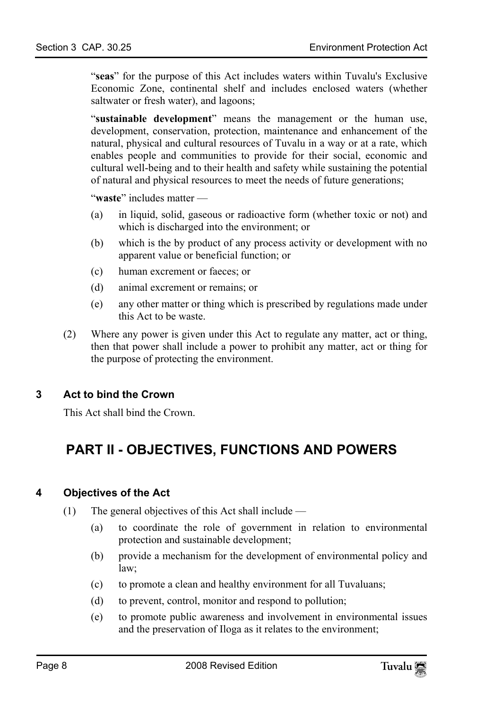"**seas**" for the purpose of this Act includes waters within Tuvalu's Exclusive Economic Zone, continental shelf and includes enclosed waters (whether saltwater or fresh water), and lagoons;

"**sustainable development**" means the management or the human use, development, conservation, protection, maintenance and enhancement of the natural, physical and cultural resources of Tuvalu in a way or at a rate, which enables people and communities to provide for their social, economic and cultural well-being and to their health and safety while sustaining the potential of natural and physical resources to meet the needs of future generations;

"**waste**" includes matter —

- (a) in liquid, solid, gaseous or radioactive form (whether toxic or not) and which is discharged into the environment; or
- (b) which is the by product of any process activity or development with no apparent value or beneficial function; or
- (c) human excrement or faeces; or
- (d) animal excrement or remains; or
- (e) any other matter or thing which is prescribed by regulations made under this Act to be waste.
- (2) Where any power is given under this Act to regulate any matter, act or thing, then that power shall include a power to prohibit any matter, act or thing for the purpose of protecting the environment.

# **3 Act to bind the Crown**

<span id="page-7-0"></span>This Act shall bind the Crown.

# <span id="page-7-1"></span>**PART II - OBJECTIVES, FUNCTIONS AND POWERS**

#### **4 Objectives of the Act**

- (1) The general objectives of this Act shall include
	- (a) to coordinate the role of government in relation to environmental protection and sustainable development;
	- (b) provide a mechanism for the development of environmental policy and law;
	- (c) to promote a clean and healthy environment for all Tuvaluans;
	- (d) to prevent, control, monitor and respond to pollution;
	- (e) to promote public awareness and involvement in environmental issues and the preservation of Iloga as it relates to the environment;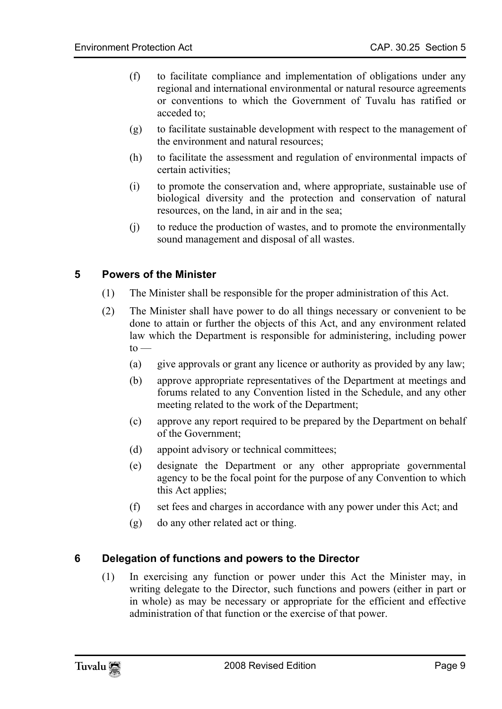- (f) to facilitate compliance and implementation of obligations under any regional and international environmental or natural resource agreements or conventions to which the Government of Tuvalu has ratified or acceded to;
- (g) to facilitate sustainable development with respect to the management of the environment and natural resources;
- (h) to facilitate the assessment and regulation of environmental impacts of certain activities;
- (i) to promote the conservation and, where appropriate, sustainable use of biological diversity and the protection and conservation of natural resources, on the land, in air and in the sea;
- <span id="page-8-0"></span>(j) to reduce the production of wastes, and to promote the environmentally sound management and disposal of all wastes.

# **5 Powers of the Minister**

- (1) The Minister shall be responsible for the proper administration of this Act.
- (2) The Minister shall have power to do all things necessary or convenient to be done to attain or further the objects of this Act, and any environment related law which the Department is responsible for administering, including power  $to -$ 
	- (a) give approvals or grant any licence or authority as provided by any law;
	- (b) approve appropriate representatives of the Department at meetings and forums related to any Convention listed in the Schedule, and any other meeting related to the work of the Department;
	- (c) approve any report required to be prepared by the Department on behalf of the Government;
	- (d) appoint advisory or technical committees;
	- (e) designate the Department or any other appropriate governmental agency to be the focal point for the purpose of any Convention to which this Act applies;
	- (f) set fees and charges in accordance with any power under this Act; and
	- (g) do any other related act or thing.

# **6 Delegation of functions and powers to the Director**

<span id="page-8-1"></span>(1) In exercising any function or power under this Act the Minister may, in writing delegate to the Director, such functions and powers (either in part or in whole) as may be necessary or appropriate for the efficient and effective administration of that function or the exercise of that power.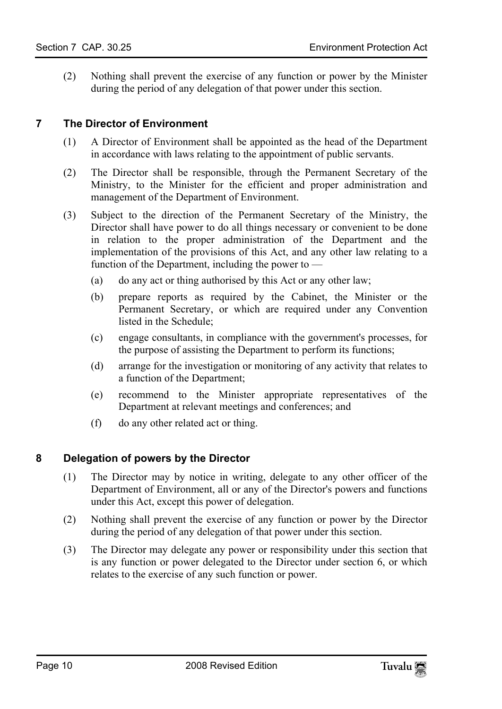<span id="page-9-0"></span>(2) Nothing shall prevent the exercise of any function or power by the Minister during the period of any delegation of that power under this section.

#### **7 The Director of Environment**

- (1) A Director of Environment shall be appointed as the head of the Department in accordance with laws relating to the appointment of public servants.
- (2) The Director shall be responsible, through the Permanent Secretary of the Ministry, to the Minister for the efficient and proper administration and management of the Department of Environment.
- (3) Subject to the direction of the Permanent Secretary of the Ministry, the Director shall have power to do all things necessary or convenient to be done in relation to the proper administration of the Department and the implementation of the provisions of this Act, and any other law relating to a function of the Department, including the power to —
	- (a) do any act or thing authorised by this Act or any other law;
	- (b) prepare reports as required by the Cabinet, the Minister or the Permanent Secretary, or which are required under any Convention listed in the Schedule;
	- (c) engage consultants, in compliance with the government's processes, for the purpose of assisting the Department to perform its functions;
	- (d) arrange for the investigation or monitoring of any activity that relates to a function of the Department;
	- (e) recommend to the Minister appropriate representatives of the Department at relevant meetings and conferences; and
	- (f) do any other related act or thing.

# **8 Delegation of powers by the Director**

- <span id="page-9-1"></span>(1) The Director may by notice in writing, delegate to any other officer of the Department of Environment, all or any of the Director's powers and functions under this Act, except this power of delegation.
- (2) Nothing shall prevent the exercise of any function or power by the Director during the period of any delegation of that power under this section.
- (3) The Director may delegate any power or responsibility under this section that is any function or power delegated to the Director under section 6, or which relates to the exercise of any such function or power.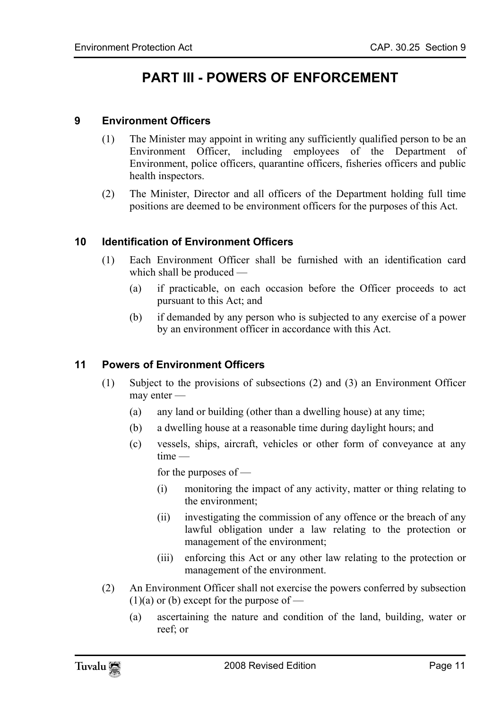# <span id="page-10-1"></span><span id="page-10-0"></span>**PART III - POWERS OF ENFORCEMENT**

### **9 Environment Officers**

- (1) The Minister may appoint in writing any sufficiently qualified person to be an Environment Officer, including employees of the Department of Environment, police officers, quarantine officers, fisheries officers and public health inspectors.
- <span id="page-10-2"></span>(2) The Minister, Director and all officers of the Department holding full time positions are deemed to be environment officers for the purposes of this Act.

#### **10 Identification of Environment Officers**

- <span id="page-10-3"></span>(1) Each Environment Officer shall be furnished with an identification card which shall be produced —
	- (a) if practicable, on each occasion before the Officer proceeds to act pursuant to this Act; and
	- (b) if demanded by any person who is subjected to any exercise of a power by an environment officer in accordance with this Act.

#### **11 Powers of Environment Officers**

- (1) Subject to the provisions of subsections (2) and (3) an Environment Officer may enter —
	- (a) any land or building (other than a dwelling house) at any time;
	- (b) a dwelling house at a reasonable time during daylight hours; and
	- (c) vessels, ships, aircraft, vehicles or other form of conveyance at any time —

for the purposes of —

- (i) monitoring the impact of any activity, matter or thing relating to the environment;
- (ii) investigating the commission of any offence or the breach of any lawful obligation under a law relating to the protection or management of the environment;
- (iii) enforcing this Act or any other law relating to the protection or management of the environment.
- (2) An Environment Officer shall not exercise the powers conferred by subsection  $(1)(a)$  or (b) except for the purpose of —
	- (a) ascertaining the nature and condition of the land, building, water or reef; or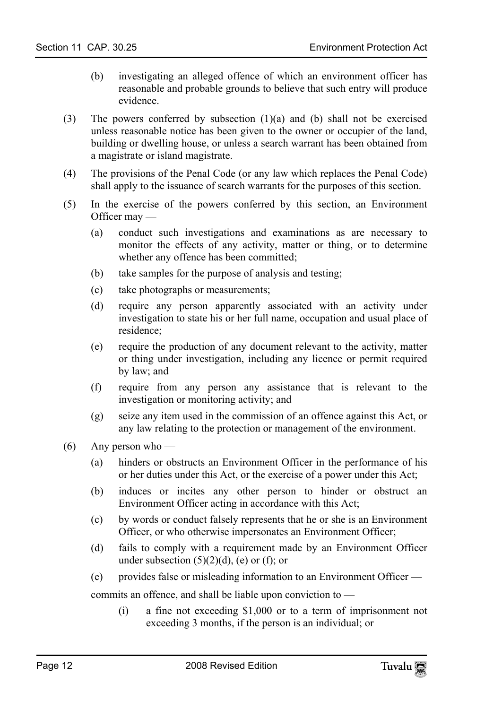- (b) investigating an alleged offence of which an environment officer has reasonable and probable grounds to believe that such entry will produce evidence.
- (3) The powers conferred by subsection  $(1)(a)$  and  $(b)$  shall not be exercised unless reasonable notice has been given to the owner or occupier of the land, building or dwelling house, or unless a search warrant has been obtained from a magistrate or island magistrate.
- (4) The provisions of the Penal Code (or any law which replaces the Penal Code) shall apply to the issuance of search warrants for the purposes of this section.
- (5) In the exercise of the powers conferred by this section, an Environment Officer may —
	- (a) conduct such investigations and examinations as are necessary to monitor the effects of any activity, matter or thing, or to determine whether any offence has been committed;
	- (b) take samples for the purpose of analysis and testing;
	- (c) take photographs or measurements;
	- (d) require any person apparently associated with an activity under investigation to state his or her full name, occupation and usual place of residence;
	- (e) require the production of any document relevant to the activity, matter or thing under investigation, including any licence or permit required by law; and
	- (f) require from any person any assistance that is relevant to the investigation or monitoring activity; and
	- (g) seize any item used in the commission of an offence against this Act, or any law relating to the protection or management of the environment.
- (6) Any person who
	- (a) hinders or obstructs an Environment Officer in the performance of his or her duties under this Act, or the exercise of a power under this Act;
	- (b) induces or incites any other person to hinder or obstruct an Environment Officer acting in accordance with this Act;
	- (c) by words or conduct falsely represents that he or she is an Environment Officer, or who otherwise impersonates an Environment Officer;
	- (d) fails to comply with a requirement made by an Environment Officer under subsection  $(5)(2)(d)$ , (e) or (f); or
	- (e) provides false or misleading information to an Environment Officer —

commits an offence, and shall be liable upon conviction to —

(i) a fine not exceeding \$1,000 or to a term of imprisonment not exceeding 3 months, if the person is an individual; or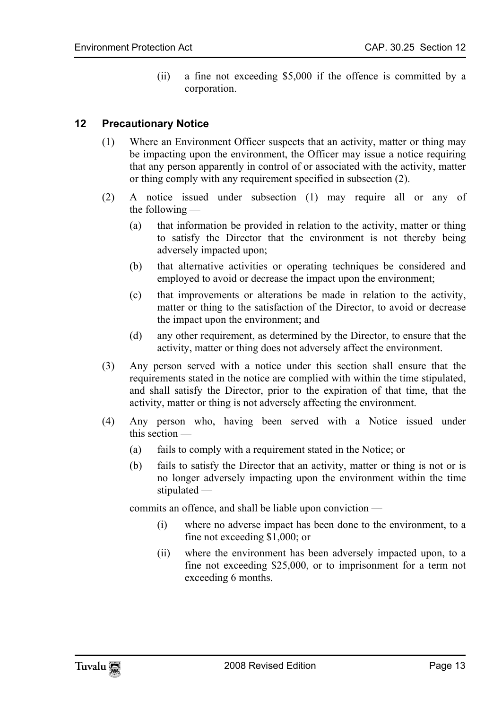<span id="page-12-0"></span>(ii) a fine not exceeding \$5,000 if the offence is committed by a corporation.

### **12 Precautionary Notice**

- (1) Where an Environment Officer suspects that an activity, matter or thing may be impacting upon the environment, the Officer may issue a notice requiring that any person apparently in control of or associated with the activity, matter or thing comply with any requirement specified in subsection (2).
- (2) A notice issued under subsection (1) may require all or any of the following —
	- (a) that information be provided in relation to the activity, matter or thing to satisfy the Director that the environment is not thereby being adversely impacted upon;
	- (b) that alternative activities or operating techniques be considered and employed to avoid or decrease the impact upon the environment;
	- (c) that improvements or alterations be made in relation to the activity, matter or thing to the satisfaction of the Director, to avoid or decrease the impact upon the environment; and
	- (d) any other requirement, as determined by the Director, to ensure that the activity, matter or thing does not adversely affect the environment.
- (3) Any person served with a notice under this section shall ensure that the requirements stated in the notice are complied with within the time stipulated, and shall satisfy the Director, prior to the expiration of that time, that the activity, matter or thing is not adversely affecting the environment.
- (4) Any person who, having been served with a Notice issued under this section —
	- (a) fails to comply with a requirement stated in the Notice; or
	- (b) fails to satisfy the Director that an activity, matter or thing is not or is no longer adversely impacting upon the environment within the time stipulated —

commits an offence, and shall be liable upon conviction —

- (i) where no adverse impact has been done to the environment, to a fine not exceeding \$1,000; or
- (ii) where the environment has been adversely impacted upon, to a fine not exceeding \$25,000, or to imprisonment for a term not exceeding 6 months.

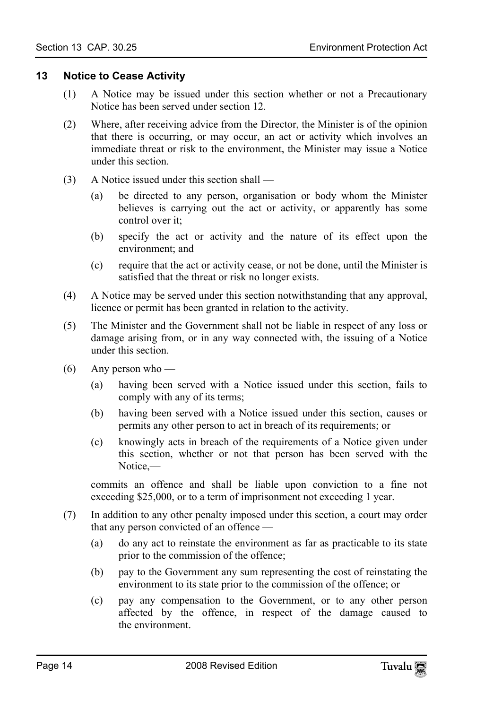#### **13 Notice to Cease Activity**

- <span id="page-13-0"></span>(1) A Notice may be issued under this section whether or not a Precautionary Notice has been served under section 12.
- (2) Where, after receiving advice from the Director, the Minister is of the opinion that there is occurring, or may occur, an act or activity which involves an immediate threat or risk to the environment, the Minister may issue a Notice under this section.
- (3) A Notice issued under this section shall
	- (a) be directed to any person, organisation or body whom the Minister believes is carrying out the act or activity, or apparently has some control over it;
	- (b) specify the act or activity and the nature of its effect upon the environment; and
	- (c) require that the act or activity cease, or not be done, until the Minister is satisfied that the threat or risk no longer exists.
- (4) A Notice may be served under this section notwithstanding that any approval, licence or permit has been granted in relation to the activity.
- (5) The Minister and the Government shall not be liable in respect of any loss or damage arising from, or in any way connected with, the issuing of a Notice under this section.
- $(6)$  Any person who
	- (a) having been served with a Notice issued under this section, fails to comply with any of its terms;
	- (b) having been served with a Notice issued under this section, causes or permits any other person to act in breach of its requirements; or
	- (c) knowingly acts in breach of the requirements of a Notice given under this section, whether or not that person has been served with the Notice,—

commits an offence and shall be liable upon conviction to a fine not exceeding \$25,000, or to a term of imprisonment not exceeding 1 year.

- (7) In addition to any other penalty imposed under this section, a court may order that any person convicted of an offence —
	- (a) do any act to reinstate the environment as far as practicable to its state prior to the commission of the offence;
	- (b) pay to the Government any sum representing the cost of reinstating the environment to its state prior to the commission of the offence; or
	- (c) pay any compensation to the Government, or to any other person affected by the offence, in respect of the damage caused to the environment.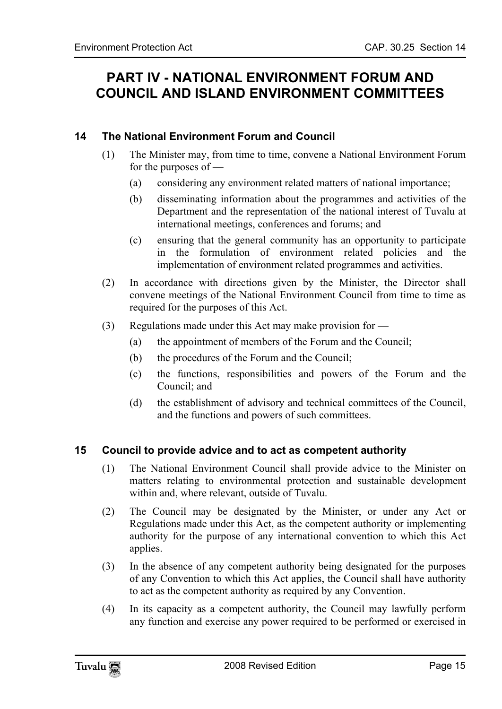# <span id="page-14-1"></span><span id="page-14-0"></span>**PART IV - NATIONAL ENVIRONMENT FORUM AND COUNCIL AND ISLAND ENVIRONMENT COMMITTEES**

# **14 The National Environment Forum and Council**

- (1) The Minister may, from time to time, convene a National Environment Forum for the purposes of —
	- (a) considering any environment related matters of national importance;
	- (b) disseminating information about the programmes and activities of the Department and the representation of the national interest of Tuvalu at international meetings, conferences and forums; and
	- (c) ensuring that the general community has an opportunity to participate in the formulation of environment related policies and the implementation of environment related programmes and activities.
- (2) In accordance with directions given by the Minister, the Director shall convene meetings of the National Environment Council from time to time as required for the purposes of this Act.
- <span id="page-14-2"></span>(3) Regulations made under this Act may make provision for —
	- (a) the appointment of members of the Forum and the Council;
	- (b) the procedures of the Forum and the Council;
	- (c) the functions, responsibilities and powers of the Forum and the Council; and
	- (d) the establishment of advisory and technical committees of the Council, and the functions and powers of such committees.

# **15 Council to provide advice and to act as competent authority**

- (1) The National Environment Council shall provide advice to the Minister on matters relating to environmental protection and sustainable development within and, where relevant, outside of Tuvalu.
- (2) The Council may be designated by the Minister, or under any Act or Regulations made under this Act, as the competent authority or implementing authority for the purpose of any international convention to which this Act applies.
- (3) In the absence of any competent authority being designated for the purposes of any Convention to which this Act applies, the Council shall have authority to act as the competent authority as required by any Convention.
- (4) In its capacity as a competent authority, the Council may lawfully perform any function and exercise any power required to be performed or exercised in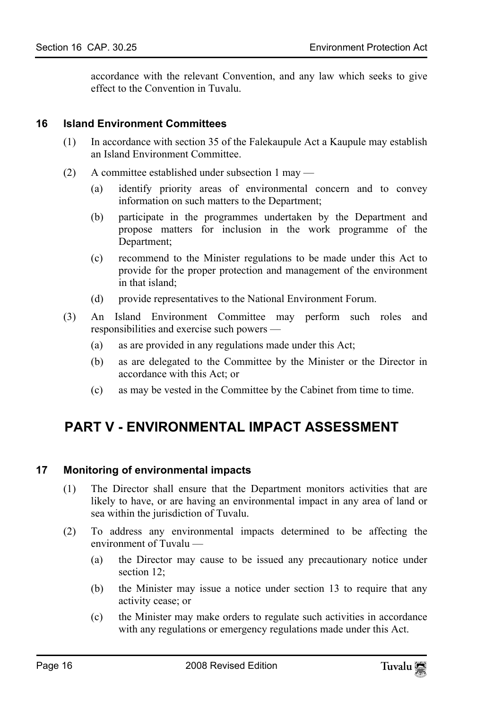<span id="page-15-0"></span>accordance with the relevant Convention, and any law which seeks to give effect to the Convention in Tuvalu.

#### **16 Island Environment Committees**

- (1) In accordance with section 35 of the Falekaupule Act a Kaupule may establish an Island Environment Committee.
- (2) A committee established under subsection 1 may
	- (a) identify priority areas of environmental concern and to convey information on such matters to the Department;
	- (b) participate in the programmes undertaken by the Department and propose matters for inclusion in the work programme of the Department;
	- (c) recommend to the Minister regulations to be made under this Act to provide for the proper protection and management of the environment in that island;
	- (d) provide representatives to the National Environment Forum.
- <span id="page-15-1"></span>(3) An Island Environment Committee may perform such roles and responsibilities and exercise such powers —
	- (a) as are provided in any regulations made under this Act;
	- (b) as are delegated to the Committee by the Minister or the Director in accordance with this Act; or
	- (c) as may be vested in the Committee by the Cabinet from time to time.

# <span id="page-15-2"></span>**PART V - ENVIRONMENTAL IMPACT ASSESSMENT**

#### **17 Monitoring of environmental impacts**

- (1) The Director shall ensure that the Department monitors activities that are likely to have, or are having an environmental impact in any area of land or sea within the jurisdiction of Tuvalu.
- (2) To address any environmental impacts determined to be affecting the environment of Tuvalu —
	- (a) the Director may cause to be issued any precautionary notice under section 12:
	- (b) the Minister may issue a notice under section 13 to require that any activity cease; or
	- (c) the Minister may make orders to regulate such activities in accordance with any regulations or emergency regulations made under this Act.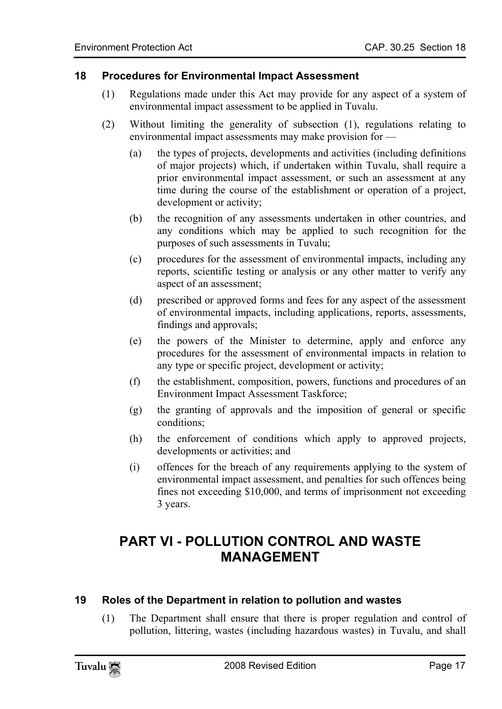#### **18 Procedures for Environmental Impact Assessment**

- <span id="page-16-0"></span>(1) Regulations made under this Act may provide for any aspect of a system of environmental impact assessment to be applied in Tuvalu.
- (2) Without limiting the generality of subsection (1), regulations relating to environmental impact assessments may make provision for —
	- (a) the types of projects, developments and activities (including definitions of major projects) which, if undertaken within Tuvalu, shall require a prior environmental impact assessment, or such an assessment at any time during the course of the establishment or operation of a project, development or activity;
	- (b) the recognition of any assessments undertaken in other countries, and any conditions which may be applied to such recognition for the purposes of such assessments in Tuvalu;
	- (c) procedures for the assessment of environmental impacts, including any reports, scientific testing or analysis or any other matter to verify any aspect of an assessment;
	- (d) prescribed or approved forms and fees for any aspect of the assessment of environmental impacts, including applications, reports, assessments, findings and approvals;
	- (e) the powers of the Minister to determine, apply and enforce any procedures for the assessment of environmental impacts in relation to any type or specific project, development or activity;
	- (f) the establishment, composition, powers, functions and procedures of an Environment Impact Assessment Taskforce;
	- (g) the granting of approvals and the imposition of general or specific conditions;
	- (h) the enforcement of conditions which apply to approved projects, developments or activities; and
	- (i) offences for the breach of any requirements applying to the system of environmental impact assessment, and penalties for such offences being fines not exceeding \$10,000, and terms of imprisonment not exceeding 3 years.

# **PART VI - POLLUTION CONTROL AND WASTE MANAGEMENT**

# **19 Roles of the Department in relation to pollution and wastes**

(1) The Department shall ensure that there is proper regulation and control of pollution, littering, wastes (including hazardous wastes) in Tuvalu, and shall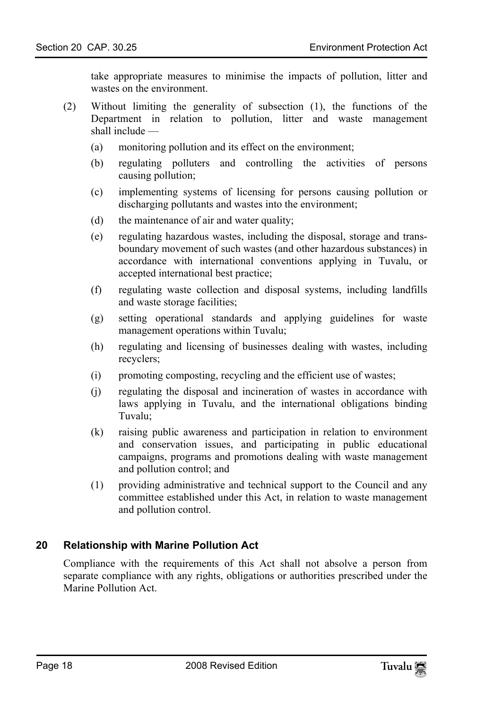take appropriate measures to minimise the impacts of pollution, litter and wastes on the environment.

- (2) Without limiting the generality of subsection (1), the functions of the Department in relation to pollution, litter and waste management shall include —
	- (a) monitoring pollution and its effect on the environment;
	- (b) regulating polluters and controlling the activities of persons causing pollution;
	- (c) implementing systems of licensing for persons causing pollution or discharging pollutants and wastes into the environment;
	- (d) the maintenance of air and water quality;
	- (e) regulating hazardous wastes, including the disposal, storage and transboundary movement of such wastes (and other hazardous substances) in accordance with international conventions applying in Tuvalu, or accepted international best practice;
	- (f) regulating waste collection and disposal systems, including landfills and waste storage facilities;
	- (g) setting operational standards and applying guidelines for waste management operations within Tuvalu;
	- (h) regulating and licensing of businesses dealing with wastes, including recyclers;
	- (i) promoting composting, recycling and the efficient use of wastes;
	- (j) regulating the disposal and incineration of wastes in accordance with laws applying in Tuvalu, and the international obligations binding Tuvalu;
	- (k) raising public awareness and participation in relation to environment and conservation issues, and participating in public educational campaigns, programs and promotions dealing with waste management and pollution control; and
	- (1) providing administrative and technical support to the Council and any committee established under this Act, in relation to waste management and pollution control.

# **20 Relationship with Marine Pollution Act**

<span id="page-17-0"></span>Compliance with the requirements of this Act shall not absolve a person from separate compliance with any rights, obligations or authorities prescribed under the Marine Pollution Act.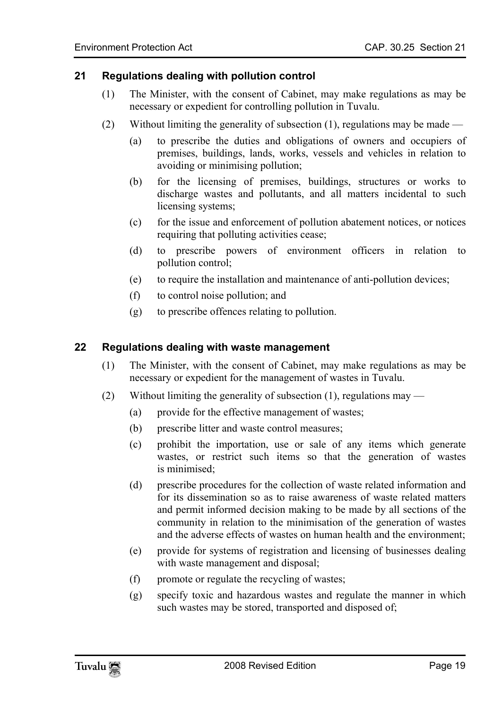#### **21 Regulations dealing with pollution control**

- <span id="page-18-0"></span>(1) The Minister, with the consent of Cabinet, may make regulations as may be necessary or expedient for controlling pollution in Tuvalu.
- (2) Without limiting the generality of subsection  $(1)$ , regulations may be made
	- (a) to prescribe the duties and obligations of owners and occupiers of premises, buildings, lands, works, vessels and vehicles in relation to avoiding or minimising pollution;
	- (b) for the licensing of premises, buildings, structures or works to discharge wastes and pollutants, and all matters incidental to such licensing systems;
	- (c) for the issue and enforcement of pollution abatement notices, or notices requiring that polluting activities cease;
	- (d) to prescribe powers of environment officers in relation to pollution control;
	- (e) to require the installation and maintenance of anti-pollution devices;
	- (f) to control noise pollution; and
	- (g) to prescribe offences relating to pollution.

#### <span id="page-18-1"></span>**22 Regulations dealing with waste management**

- (1) The Minister, with the consent of Cabinet, may make regulations as may be necessary or expedient for the management of wastes in Tuvalu.
- (2) Without limiting the generality of subsection (1), regulations may
	- (a) provide for the effective management of wastes;
	- (b) prescribe litter and waste control measures;
	- (c) prohibit the importation, use or sale of any items which generate wastes, or restrict such items so that the generation of wastes is minimised;
	- (d) prescribe procedures for the collection of waste related information and for its dissemination so as to raise awareness of waste related matters and permit informed decision making to be made by all sections of the community in relation to the minimisation of the generation of wastes and the adverse effects of wastes on human health and the environment;
	- (e) provide for systems of registration and licensing of businesses dealing with waste management and disposal;
	- (f) promote or regulate the recycling of wastes;
	- (g) specify toxic and hazardous wastes and regulate the manner in which such wastes may be stored, transported and disposed of;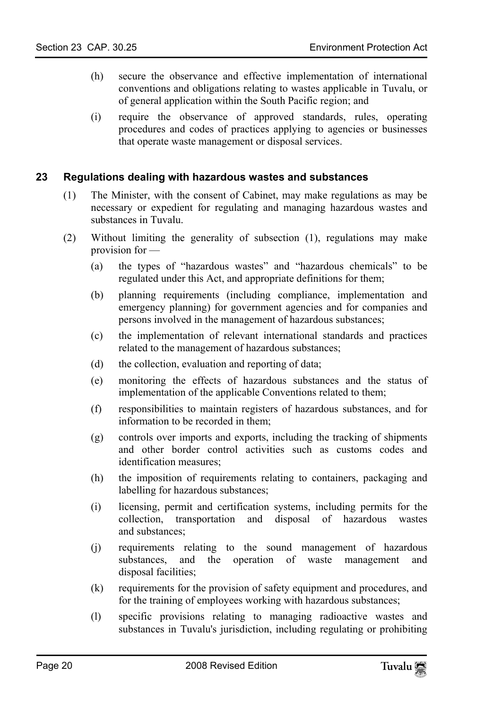- (h) secure the observance and effective implementation of international conventions and obligations relating to wastes applicable in Tuvalu, or of general application within the South Pacific region; and
- <span id="page-19-0"></span>(i) require the observance of approved standards, rules, operating procedures and codes of practices applying to agencies or businesses that operate waste management or disposal services.

#### **23 Regulations dealing with hazardous wastes and substances**

- (1) The Minister, with the consent of Cabinet, may make regulations as may be necessary or expedient for regulating and managing hazardous wastes and substances in Tuvalu.
- (2) Without limiting the generality of subsection (1), regulations may make provision for —
	- (a) the types of "hazardous wastes" and "hazardous chemicals" to be regulated under this Act, and appropriate definitions for them;
	- (b) planning requirements (including compliance, implementation and emergency planning) for government agencies and for companies and persons involved in the management of hazardous substances;
	- (c) the implementation of relevant international standards and practices related to the management of hazardous substances;
	- (d) the collection, evaluation and reporting of data;
	- (e) monitoring the effects of hazardous substances and the status of implementation of the applicable Conventions related to them;
	- (f) responsibilities to maintain registers of hazardous substances, and for information to be recorded in them;
	- (g) controls over imports and exports, including the tracking of shipments and other border control activities such as customs codes and identification measures;
	- (h) the imposition of requirements relating to containers, packaging and labelling for hazardous substances;
	- (i) licensing, permit and certification systems, including permits for the collection, transportation and disposal of hazardous wastes and substances;
	- (j) requirements relating to the sound management of hazardous substances, and the operation of waste management and disposal facilities;
	- (k) requirements for the provision of safety equipment and procedures, and for the training of employees working with hazardous substances;
	- (l) specific provisions relating to managing radioactive wastes and substances in Tuvalu's jurisdiction, including regulating or prohibiting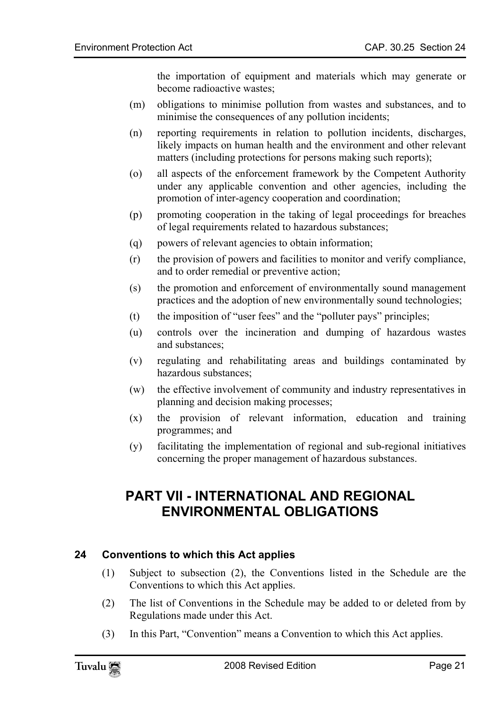the importation of equipment and materials which may generate or become radioactive wastes;

- (m) obligations to minimise pollution from wastes and substances, and to minimise the consequences of any pollution incidents;
- (n) reporting requirements in relation to pollution incidents, discharges, likely impacts on human health and the environment and other relevant matters (including protections for persons making such reports);
- (o) all aspects of the enforcement framework by the Competent Authority under any applicable convention and other agencies, including the promotion of inter-agency cooperation and coordination;
- (p) promoting cooperation in the taking of legal proceedings for breaches of legal requirements related to hazardous substances;
- (q) powers of relevant agencies to obtain information;
- (r) the provision of powers and facilities to monitor and verify compliance, and to order remedial or preventive action;
- (s) the promotion and enforcement of environmentally sound management practices and the adoption of new environmentally sound technologies;
- (t) the imposition of "user fees" and the "polluter pays" principles;
- (u) controls over the incineration and dumping of hazardous wastes and substances;
- (v) regulating and rehabilitating areas and buildings contaminated by hazardous substances;
- (w) the effective involvement of community and industry representatives in planning and decision making processes;
- <span id="page-20-0"></span>(x) the provision of relevant information, education and training programmes; and
- (y) facilitating the implementation of regional and sub-regional initiatives concerning the proper management of hazardous substances.

# <span id="page-20-1"></span>**PART VII - INTERNATIONAL AND REGIONAL ENVIRONMENTAL OBLIGATIONS**

# **24 Conventions to which this Act applies**

- (1) Subject to subsection (2), the Conventions listed in the Schedule are the Conventions to which this Act applies.
- (2) The list of Conventions in the Schedule may be added to or deleted from by Regulations made under this Act.
- (3) In this Part, "Convention" means a Convention to which this Act applies.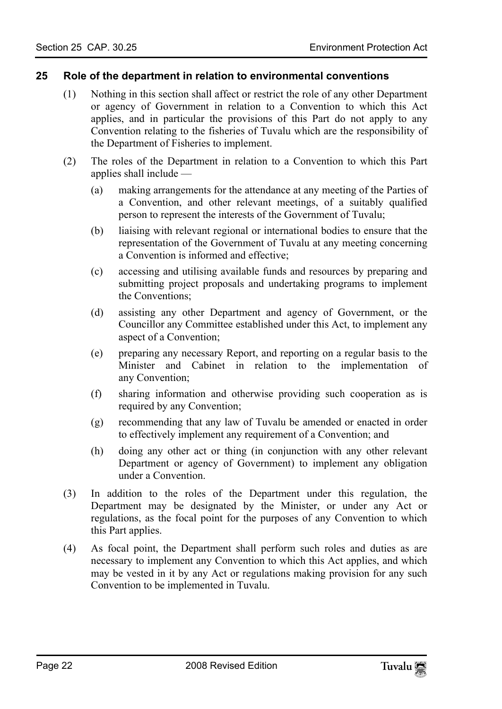#### **25 Role of the department in relation to environmental conventions**

- <span id="page-21-0"></span>(1) Nothing in this section shall affect or restrict the role of any other Department or agency of Government in relation to a Convention to which this Act applies, and in particular the provisions of this Part do not apply to any Convention relating to the fisheries of Tuvalu which are the responsibility of the Department of Fisheries to implement.
- (2) The roles of the Department in relation to a Convention to which this Part applies shall include —
	- (a) making arrangements for the attendance at any meeting of the Parties of a Convention, and other relevant meetings, of a suitably qualified person to represent the interests of the Government of Tuvalu;
	- (b) liaising with relevant regional or international bodies to ensure that the representation of the Government of Tuvalu at any meeting concerning a Convention is informed and effective;
	- (c) accessing and utilising available funds and resources by preparing and submitting project proposals and undertaking programs to implement the Conventions;
	- (d) assisting any other Department and agency of Government, or the Councillor any Committee established under this Act, to implement any aspect of a Convention;
	- (e) preparing any necessary Report, and reporting on a regular basis to the Minister and Cabinet in relation to the implementation of any Convention;
	- (f) sharing information and otherwise providing such cooperation as is required by any Convention;
	- (g) recommending that any law of Tuvalu be amended or enacted in order to effectively implement any requirement of a Convention; and
	- (h) doing any other act or thing (in conjunction with any other relevant Department or agency of Government) to implement any obligation under a Convention.
- (3) In addition to the roles of the Department under this regulation, the Department may be designated by the Minister, or under any Act or regulations, as the focal point for the purposes of any Convention to which this Part applies.
- (4) As focal point, the Department shall perform such roles and duties as are necessary to implement any Convention to which this Act applies, and which may be vested in it by any Act or regulations making provision for any such Convention to be implemented in Tuvalu.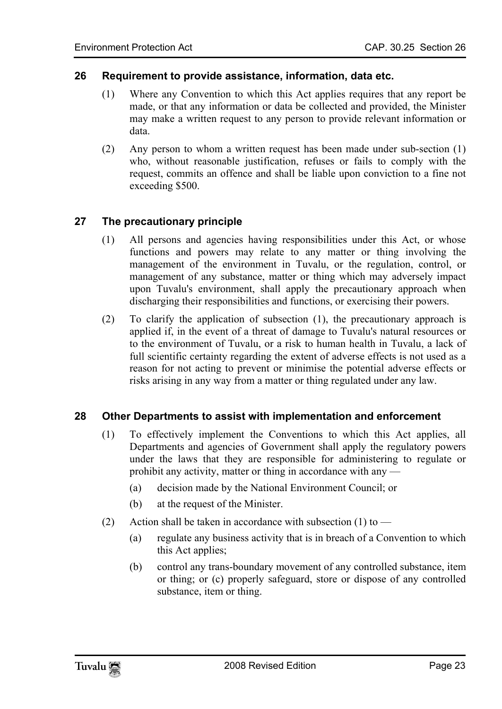#### **26 Requirement to provide assistance, information, data etc.**

- <span id="page-22-0"></span>(1) Where any Convention to which this Act applies requires that any report be made, or that any information or data be collected and provided, the Minister may make a written request to any person to provide relevant information or data.
- <span id="page-22-1"></span>(2) Any person to whom a written request has been made under sub-section (1) who, without reasonable justification, refuses or fails to comply with the request, commits an offence and shall be liable upon conviction to a fine not exceeding \$500.

#### **27 The precautionary principle**

- (1) All persons and agencies having responsibilities under this Act, or whose functions and powers may relate to any matter or thing involving the management of the environment in Tuvalu, or the regulation, control, or management of any substance, matter or thing which may adversely impact upon Tuvalu's environment, shall apply the precautionary approach when discharging their responsibilities and functions, or exercising their powers.
- <span id="page-22-2"></span>(2) To clarify the application of subsection (1), the precautionary approach is applied if, in the event of a threat of damage to Tuvalu's natural resources or to the environment of Tuvalu, or a risk to human health in Tuvalu, a lack of full scientific certainty regarding the extent of adverse effects is not used as a reason for not acting to prevent or minimise the potential adverse effects or risks arising in any way from a matter or thing regulated under any law.

#### **28 Other Departments to assist with implementation and enforcement**

- (1) To effectively implement the Conventions to which this Act applies, all Departments and agencies of Government shall apply the regulatory powers under the laws that they are responsible for administering to regulate or prohibit any activity, matter or thing in accordance with any —
	- (a) decision made by the National Environment Council; or
	- (b) at the request of the Minister.
- (2) Action shall be taken in accordance with subsection  $(1)$  to
	- (a) regulate any business activity that is in breach of a Convention to which this Act applies;
	- (b) control any trans-boundary movement of any controlled substance, item or thing; or (c) properly safeguard, store or dispose of any controlled substance, item or thing.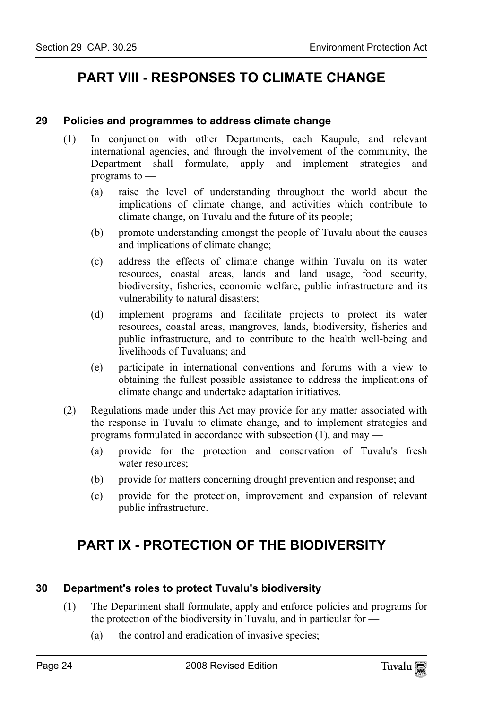# <span id="page-23-1"></span><span id="page-23-0"></span>**PART VIII - RESPONSES TO CLIMATE CHANGE**

#### **29 Policies and programmes to address climate change**

- (1) In conjunction with other Departments, each Kaupule, and relevant international agencies, and through the involvement of the community, the Department shall formulate, apply and implement strategies and programs to —
	- (a) raise the level of understanding throughout the world about the implications of climate change, and activities which contribute to climate change, on Tuvalu and the future of its people;
	- (b) promote understanding amongst the people of Tuvalu about the causes and implications of climate change;
	- (c) address the effects of climate change within Tuvalu on its water resources, coastal areas, lands and land usage, food security, biodiversity, fisheries, economic welfare, public infrastructure and its vulnerability to natural disasters;
	- (d) implement programs and facilitate projects to protect its water resources, coastal areas, mangroves, lands, biodiversity, fisheries and public infrastructure, and to contribute to the health well-being and livelihoods of Tuvaluans; and
	- (e) participate in international conventions and forums with a view to obtaining the fullest possible assistance to address the implications of climate change and undertake adaptation initiatives.
- (2) Regulations made under this Act may provide for any matter associated with the response in Tuvalu to climate change, and to implement strategies and programs formulated in accordance with subsection (1), and may —
	- (a) provide for the protection and conservation of Tuvalu's fresh water resources:
	- (b) provide for matters concerning drought prevention and response; and
	- (c) provide for the protection, improvement and expansion of relevant public infrastructure.

# <span id="page-23-3"></span><span id="page-23-2"></span>**PART IX - PROTECTION OF THE BIODIVERSITY**

#### **30 Department's roles to protect Tuvalu's biodiversity**

- (1) The Department shall formulate, apply and enforce policies and programs for the protection of the biodiversity in Tuvalu, and in particular for —
	- (a) the control and eradication of invasive species;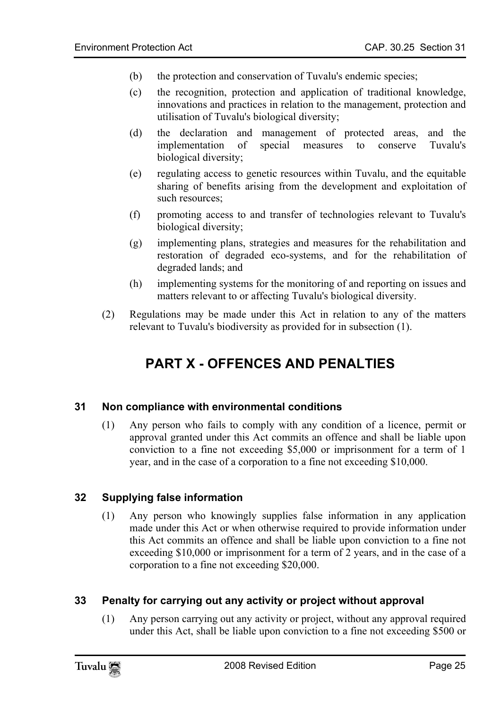- (b) the protection and conservation of Tuvalu's endemic species;
- (c) the recognition, protection and application of traditional knowledge, innovations and practices in relation to the management, protection and utilisation of Tuvalu's biological diversity;
- (d) the declaration and management of protected areas, and the implementation of special measures to conserve Tuvalu's biological diversity;
- (e) regulating access to genetic resources within Tuvalu, and the equitable sharing of benefits arising from the development and exploitation of such resources;
- (f) promoting access to and transfer of technologies relevant to Tuvalu's biological diversity;
- (g) implementing plans, strategies and measures for the rehabilitation and restoration of degraded eco-systems, and for the rehabilitation of degraded lands; and
- <span id="page-24-0"></span>(h) implementing systems for the monitoring of and reporting on issues and matters relevant to or affecting Tuvalu's biological diversity.
- (2) Regulations may be made under this Act in relation to any of the matters relevant to Tuvalu's biodiversity as provided for in subsection (1).

# <span id="page-24-1"></span>**PART X - OFFENCES AND PENALTIES**

# **31 Non compliance with environmental conditions**

<span id="page-24-2"></span>(1) Any person who fails to comply with any condition of a licence, permit or approval granted under this Act commits an offence and shall be liable upon conviction to a fine not exceeding \$5,000 or imprisonment for a term of 1 year, and in the case of a corporation to a fine not exceeding \$10,000.

# **32 Supplying false information**

<span id="page-24-3"></span>(1) Any person who knowingly supplies false information in any application made under this Act or when otherwise required to provide information under this Act commits an offence and shall be liable upon conviction to a fine not exceeding \$10,000 or imprisonment for a term of 2 years, and in the case of a corporation to a fine not exceeding \$20,000.

# **33 Penalty for carrying out any activity or project without approval**

(1) Any person carrying out any activity or project, without any approval required under this Act, shall be liable upon conviction to a fine not exceeding \$500 or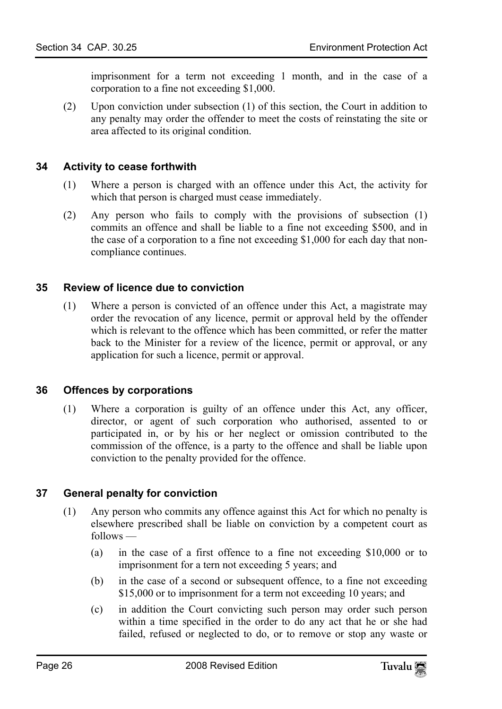<span id="page-25-0"></span>imprisonment for a term not exceeding 1 month, and in the case of a corporation to a fine not exceeding \$1,000.

(2) Upon conviction under subsection (1) of this section, the Court in addition to any penalty may order the offender to meet the costs of reinstating the site or area affected to its original condition.

#### **34 Activity to cease forthwith**

- (1) Where a person is charged with an offence under this Act, the activity for which that person is charged must cease immediately.
- <span id="page-25-1"></span>(2) Any person who fails to comply with the provisions of subsection (1) commits an offence and shall be liable to a fine not exceeding \$500, and in the case of a corporation to a fine not exceeding \$1,000 for each day that noncompliance continues.

#### **35 Review of licence due to conviction**

<span id="page-25-2"></span>(1) Where a person is convicted of an offence under this Act, a magistrate may order the revocation of any licence, permit or approval held by the offender which is relevant to the offence which has been committed, or refer the matter back to the Minister for a review of the licence, permit or approval, or any application for such a licence, permit or approval.

#### **36 Offences by corporations**

<span id="page-25-3"></span>(1) Where a corporation is guilty of an offence under this Act, any officer, director, or agent of such corporation who authorised, assented to or participated in, or by his or her neglect or omission contributed to the commission of the offence, is a party to the offence and shall be liable upon conviction to the penalty provided for the offence.

# **37 General penalty for conviction**

- (1) Any person who commits any offence against this Act for which no penalty is elsewhere prescribed shall be liable on conviction by a competent court as follows —
	- (a) in the case of a first offence to a fine not exceeding \$10,000 or to imprisonment for a tern not exceeding 5 years; and
	- (b) in the case of a second or subsequent offence, to a fine not exceeding \$15,000 or to imprisonment for a term not exceeding 10 years; and
	- (c) in addition the Court convicting such person may order such person within a time specified in the order to do any act that he or she had failed, refused or neglected to do, or to remove or stop any waste or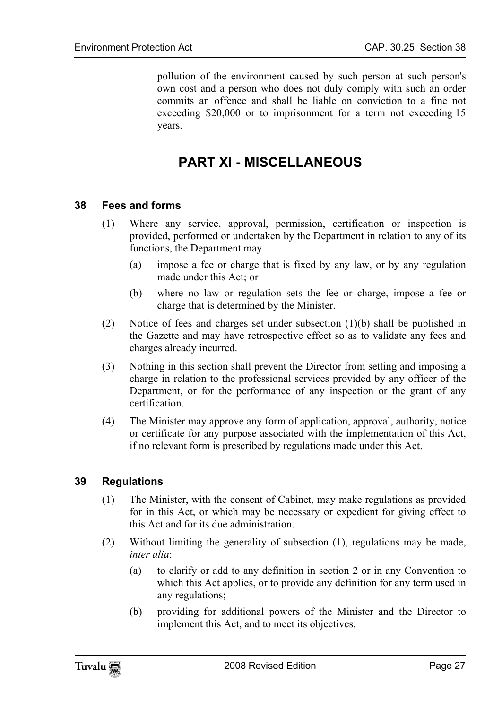<span id="page-26-0"></span>pollution of the environment caused by such person at such person's own cost and a person who does not duly comply with such an order commits an offence and shall be liable on conviction to a fine not exceeding \$20,000 or to imprisonment for a term not exceeding 15 years.

# <span id="page-26-1"></span>**PART XI - MISCELLANEOUS**

#### **38 Fees and forms**

- (1) Where any service, approval, permission, certification or inspection is provided, performed or undertaken by the Department in relation to any of its functions, the Department may —
	- (a) impose a fee or charge that is fixed by any law, or by any regulation made under this Act; or
	- (b) where no law or regulation sets the fee or charge, impose a fee or charge that is determined by the Minister.
- (2) Notice of fees and charges set under subsection (1)(b) shall be published in the Gazette and may have retrospective effect so as to validate any fees and charges already incurred.
- (3) Nothing in this section shall prevent the Director from setting and imposing a charge in relation to the professional services provided by any officer of the Department, or for the performance of any inspection or the grant of any certification.
- <span id="page-26-2"></span>(4) The Minister may approve any form of application, approval, authority, notice or certificate for any purpose associated with the implementation of this Act, if no relevant form is prescribed by regulations made under this Act.

# **39 Regulations**

- (1) The Minister, with the consent of Cabinet, may make regulations as provided for in this Act, or which may be necessary or expedient for giving effect to this Act and for its due administration.
- (2) Without limiting the generality of subsection (1), regulations may be made, *inter alia*:
	- (a) to clarify or add to any definition in section 2 or in any Convention to which this Act applies, or to provide any definition for any term used in any regulations;
	- (b) providing for additional powers of the Minister and the Director to implement this Act, and to meet its objectives;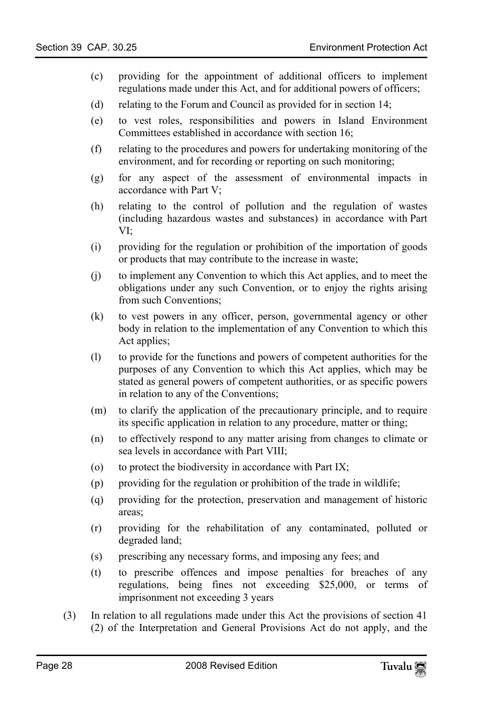- (c) providing for the appointment of additional officers to implement regulations made under this Act, and for additional powers of officers;
- (d) relating to the Forum and Council as provided for in section 14;
- (e) to vest roles, responsibilities and powers in Island Environment Committees established in accordance with section 16;
- (f) relating to the procedures and powers for undertaking monitoring of the environment, and for recording or reporting on such monitoring;
- (g) for any aspect of the assessment of environmental impacts in accordance with Part V;
- (h) relating to the control of pollution and the regulation of wastes (including hazardous wastes and substances) in accordance with Part VI;
- (i) providing for the regulation or prohibition of the importation of goods or products that may contribute to the increase in waste;
- (j) to implement any Convention to which this Act applies, and to meet the obligations under any such Convention, or to enjoy the rights arising from such Conventions;
- (k) to vest powers in any officer, person, governmental agency or other body in relation to the implementation of any Convention to which this Act applies;
- (l) to provide for the functions and powers of competent authorities for the purposes of any Convention to which this Act applies, which may be stated as general powers of competent authorities, or as specific powers in relation to any of the Conventions;
- (m) to clarify the application of the precautionary principle, and to require its specific application in relation to any procedure, matter or thing;
- (n) to effectively respond to any matter arising from changes to climate or sea levels in accordance with Part VIII;
- (o) to protect the biodiversity in accordance with Part IX;
- (p) providing for the regulation or prohibition of the trade in wildlife;
- (q) providing for the protection, preservation and management of historic areas;
- (r) providing for the rehabilitation of any contaminated, polluted or degraded land;
- (s) prescribing any necessary forms, and imposing any fees; and
- (t) to prescribe offences and impose penalties for breaches of any regulations, being fines not exceeding \$25,000, or terms of imprisonment not exceeding 3 years
- (3) In relation to all regulations made under this Act the provisions of section 41 (2) of the Interpretation and General Provisions Act do not apply, and the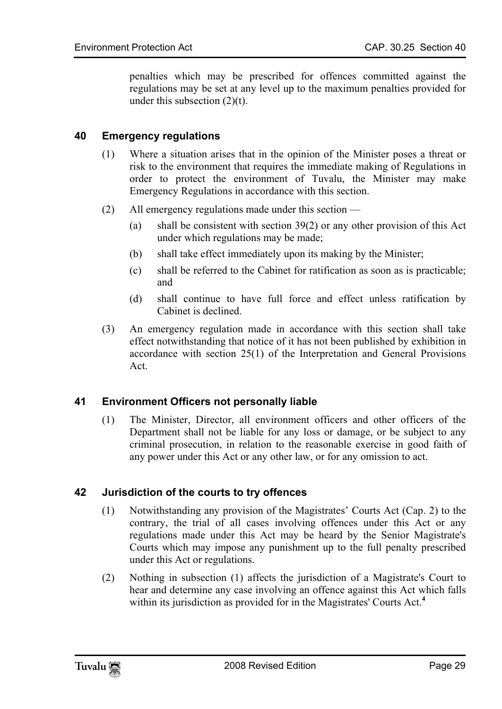<span id="page-28-0"></span>penalties which may be prescribed for offences committed against the regulations may be set at any level up to the maximum penalties provided for under this subsection  $(2)(t)$ .

# **40 Emergency regulations**

- (1) Where a situation arises that in the opinion of the Minister poses a threat or risk to the environment that requires the immediate making of Regulations in order to protect the environment of Tuvalu, the Minister may make Emergency Regulations in accordance with this section.
- (2) All emergency regulations made under this section
	- (a) shall be consistent with section 39(2) or any other provision of this Act under which regulations may be made;
	- (b) shall take effect immediately upon its making by the Minister;
	- (c) shall be referred to the Cabinet for ratification as soon as is practicable; and
	- (d) shall continue to have full force and effect unless ratification by Cabinet is declined.
- <span id="page-28-1"></span>(3) An emergency regulation made in accordance with this section shall take effect notwithstanding that notice of it has not been published by exhibition in accordance with section 25(1) of the Interpretation and General Provisions Act.

# **41 Environment Officers not personally liable**

<span id="page-28-2"></span>(1) The Minister, Director, all environment officers and other officers of the Department shall not be liable for any loss or damage, or be subject to any criminal prosecution, in relation to the reasonable exercise in good faith of any power under this Act or any other law, or for any omission to act.

# **42 Jurisdiction of the courts to try offences**

- (1) Notwithstanding any provision of the Magistrates' Courts Act (Cap. 2) to the contrary, the trial of all cases involving offences under this Act or any regulations made under this Act may be heard by the Senior Magistrate's Courts which may impose any punishment up to the full penalty prescribed under this Act or regulations.
- (2) Nothing in subsection (1) affects the jurisdiction of a Magistrate's Court to hear and determine any case involving an offence against this Act which falls within its jurisdiction as provided for in the Magistrates' Courts Act.<sup>4</sup>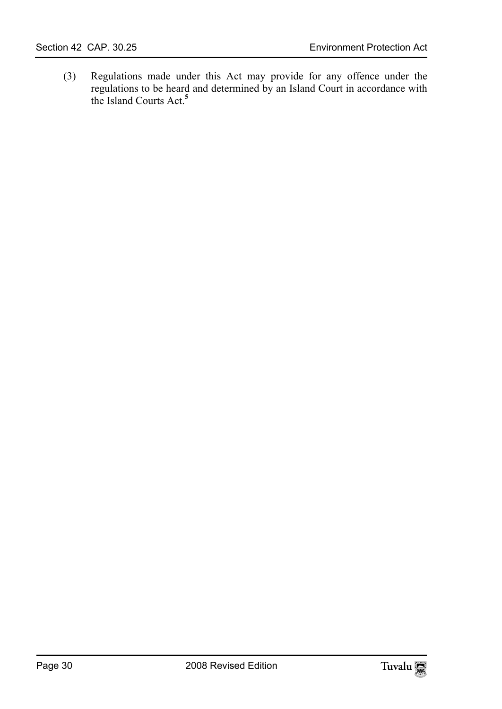(3) Regulations made under this Act may provide for any offence under the regulations to be heard and determined by an Island Court in accordance with the Island Courts Act.**<sup>5</sup>**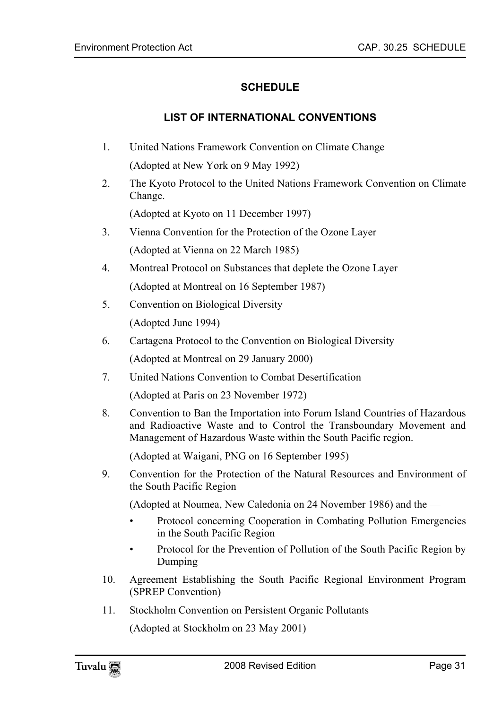# <span id="page-30-1"></span><span id="page-30-0"></span>**SCHEDULE**

# **LIST OF INTERNATIONAL CONVENTIONS**

- 1. United Nations Framework Convention on Climate Change (Adopted at New York on 9 May 1992)
- 2. The Kyoto Protocol to the United Nations Framework Convention on Climate Change.

(Adopted at Kyoto on 11 December 1997)

- 3. Vienna Convention for the Protection of the Ozone Layer (Adopted at Vienna on 22 March 1985)
- 4. Montreal Protocol on Substances that deplete the Ozone Layer (Adopted at Montreal on 16 September 1987)
- 5. Convention on Biological Diversity (Adopted June 1994)
- 6. Cartagena Protocol to the Convention on Biological Diversity (Adopted at Montreal on 29 January 2000)
- 7. United Nations Convention to Combat Desertification

(Adopted at Paris on 23 November 1972)

8. Convention to Ban the Importation into Forum Island Countries of Hazardous and Radioactive Waste and to Control the Transboundary Movement and Management of Hazardous Waste within the South Pacific region.

(Adopted at Waigani, PNG on 16 September 1995)

9. Convention for the Protection of the Natural Resources and Environment of the South Pacific Region

(Adopted at Noumea, New Caledonia on 24 November 1986) and the —

- Protocol concerning Cooperation in Combating Pollution Emergencies in the South Pacific Region
- Protocol for the Prevention of Pollution of the South Pacific Region by Dumping
- 10. Agreement Establishing the South Pacific Regional Environment Program (SPREP Convention)
- 11. Stockholm Convention on Persistent Organic Pollutants

(Adopted at Stockholm on 23 May 2001)